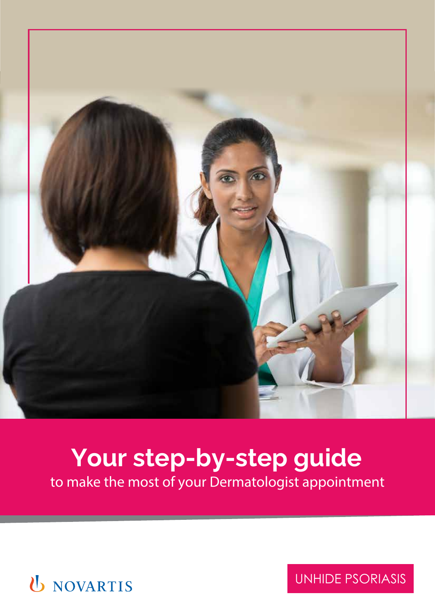

# **Your step-by-step guide**

to make the most of your Dermatologist appointment



UNHIDE PSORIASIS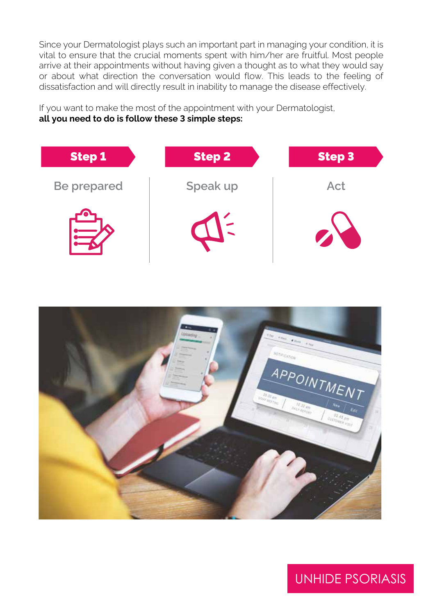Since your Dermatologist plays such an important part in managing your condition, it is vital to ensure that the crucial moments spent with him/her are fruitful. Most people arrive at their appointments without having given a thought as to what they would say or about what direction the conversation would flow. This leads to the feeling of dissatisfaction and will directly result in inability to manage the disease effectively.

If you want to make the most of the appointment with your Dermatologist, **all you need to do is follow these 3 simple steps:**





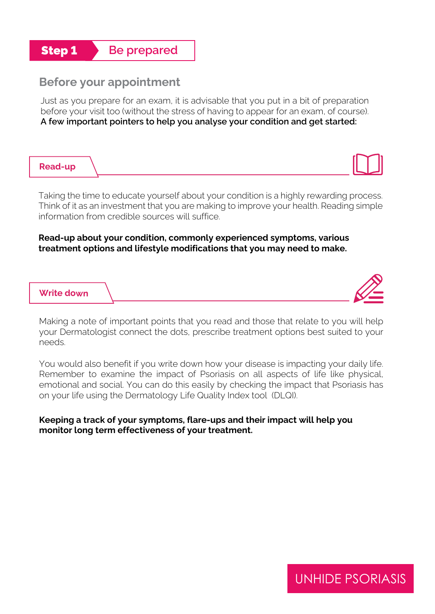## **Step 1 Be prepared**

#### **Before your appointment**

Just as you prepare for an exam, it is advisable that you put in a bit of preparation before your visit too (without the stress of having to appear for an exam, of course). **A few important pointers to help you analyse your condition and get started:**

#### **Read-up**

Taking the time to educate yourself about your condition is a highly rewarding process. Think of it as an investment that you are making to improve your health. Reading simple information from credible sources will suffice.

#### **Read-up about your condition, commonly experienced symptoms, various treatment options and lifestyle modifications that you may need to make.**

#### **Write down**

Making a note of important points that you read and those that relate to you will help your Dermatologist connect the dots, prescribe treatment options best suited to your needs.

You would also benefit if you write down how your disease is impacting your daily life. Remember to examine the impact of Psoriasis on all aspects of life like physical, emotional and social. You can do this easily by checking the impact that Psoriasis has on your life using the Dermatology Life Quality Index tool (DLQI).

#### **Keeping a track of your symptoms, flare-ups and their impact will help you monitor long term effectiveness of your treatment.**

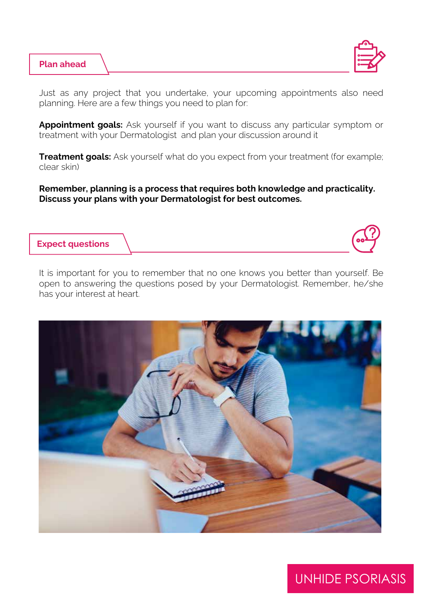#### **Plan ahead**



Just as any project that you undertake, your upcoming appointments also need planning. Here are a few things you need to plan for:

**Appointment goals:** Ask yourself if you want to discuss any particular symptom or treatment with your Dermatologist and plan your discussion around it

**Treatment goals:** Ask yourself what do you expect from your treatment (for example; clear skin)

**Remember, planning is a process that requires both knowledge and practicality. Discuss your plans with your Dermatologist for best outcomes.**

#### **Expect questions**

It is important for you to remember that no one knows you better than yourself. Be open to answering the questions posed by your Dermatologist. Remember, he/she has your interest at heart.

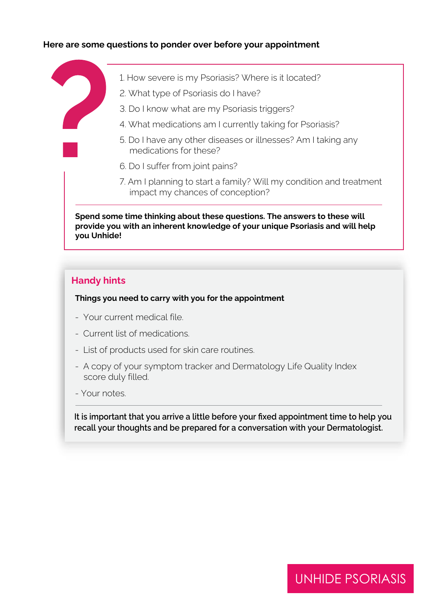#### **Here are some questions to ponder over before your appointment**

- 1. How severe is my Psoriasis? Where is it located?
- 2. What type of Psoriasis do I have?
- 3. Do I know what are my Psoriasis triggers?
- 4. What medications am I currently taking for Psoriasis?
- 5. Do I have any other diseases or illnesses? Am I taking any medications for these?
- 6. Do I suffer from joint pains?
- 7. Am I planning to start a family? Will my condition and treatment impact my chances of conception?

**Spend some time thinking about these questions. The answers to these will provide you with an inherent knowledge of your unique Psoriasis and will help you Unhide!**

#### **Handy hints**

**Things you need to carry with you for the appointment**

- Your current medical file.
- Current list of medications.
- List of products used for skin care routines.
- A copy of your symptom tracker and Dermatology Life Quality Index score duly filled.
- Your notes.

**It is important that you arrive a little before your fixed appointment time to help you recall your thoughts and be prepared for a conversation with your Dermatologist.**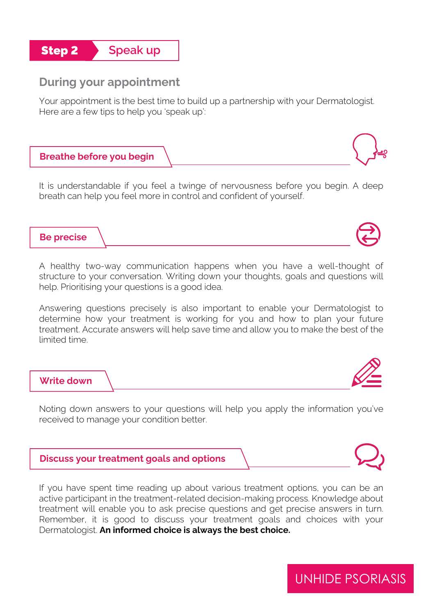

#### **During your appointment**

Your appointment is the best time to build up a partnership with your Dermatologist. Here are a few tips to help you 'speak up':

#### **Breathe before you begin**

It is understandable if you feel a twinge of nervousness before you begin. A deep breath can help you feel more in control and confident of yourself.

**Be precise**

A healthy two-way communication happens when you have a well-thought of structure to your conversation. Writing down your thoughts, goals and questions will help. Prioritising your questions is a good idea.

Answering questions precisely is also important to enable your Dermatologist to determine how your treatment is working for you and how to plan your future treatment. Accurate answers will help save time and allow you to make the best of the limited time.

## **Write down**

Noting down answers to your questions will help you apply the information you've received to manage your condition better.



If you have spent time reading up about various treatment options, you can be an active participant in the treatment-related decision-making process. Knowledge about treatment will enable you to ask precise questions and get precise answers in turn. Remember, it is good to discuss your treatment goals and choices with your Dermatologist. **An informed choice is always the best choice.**





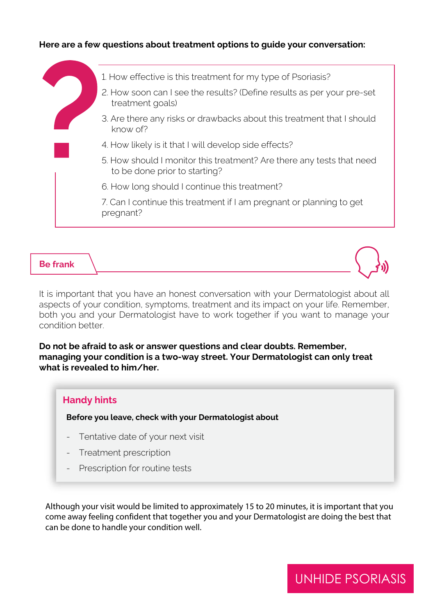#### **Here are a few questions about treatment options to guide your conversation:**



#### **Be frank**

It is important that you have an honest conversation with your Dermatologist about all aspects of your condition, symptoms, treatment and its impact on your life. Remember, both you and your Dermatologist have to work together if you want to manage your condition better.

**Do not be afraid to ask or answer questions and clear doubts. Remember, managing your condition is a two-way street. Your Dermatologist can only treat what is revealed to him/her.** 

#### **Handy hints**

**Before you leave, check with your Dermatologist about**

- Tentative date of your next visit
- Treatment prescription
- Prescription for routine tests

Although your visit would be limited to approximately 15 to 20 minutes, it is important that you come away feeling confident that together you and your Dermatologist are doing the best that can be done to handle your condition well.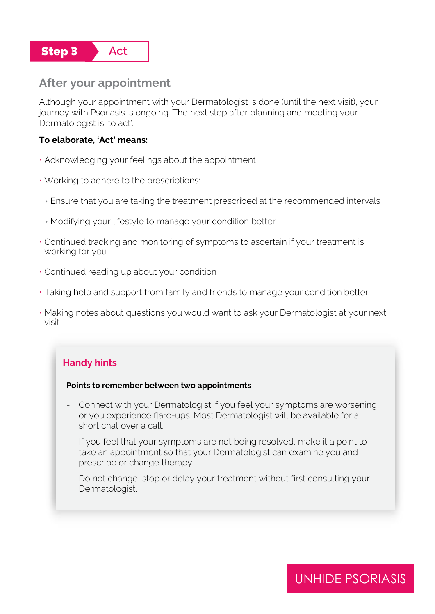

#### **After your appointment**

Although your appointment with your Dermatologist is done (until the next visit), your journey with Psoriasis is ongoing. The next step after planning and meeting your Dermatologist is 'to act'.

#### **To elaborate, 'Act' means:**

- Acknowledging your feelings about the appointment
- Working to adhere to the prescriptions:
	- Ensure that you are taking the treatment prescribed at the recommended intervals
	- Modifying your lifestyle to manage your condition better
- Continued tracking and monitoring of symptoms to ascertain if your treatment is working for you
- Continued reading up about your condition
- Taking help and support from family and friends to manage your condition better
- Making notes about questions you would want to ask your Dermatologist at your next visit

#### **Handy hints**

#### **Points to remember between two appointments**

- Connect with your Dermatologist if you feel your symptoms are worsening or you experience flare-ups. Most Dermatologist will be available for a short chat over a call.
- If you feel that your symptoms are not being resolved, make it a point to take an appointment so that your Dermatologist can examine you and prescribe or change therapy.
- Do not change, stop or delay your treatment without first consulting your Dermatologist.

### UNHIDE PSORIASIS